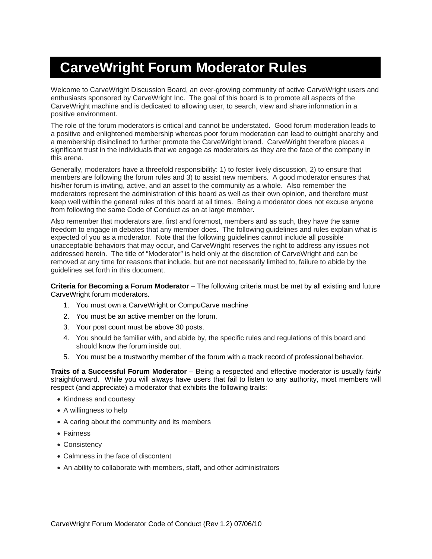## **CarveWright Forum Moderator Rules**

Welcome to CarveWright Discussion Board, an ever-growing community of active CarveWright users and enthusiasts sponsored by CarveWright Inc. The goal of this board is to promote all aspects of the CarveWright machine and is dedicated to allowing user, to search, view and share information in a positive environment.

The role of the forum moderators is critical and cannot be understated. Good forum moderation leads to a positive and enlightened membership whereas poor forum moderation can lead to outright anarchy and a membership disinclined to further promote the CarveWright brand. CarveWright therefore places a significant trust in the individuals that we engage as moderators as they are the face of the company in this arena.

Generally, moderators have a threefold responsibility: 1) to foster lively discussion, 2) to ensure that members are following the forum rules and 3) to assist new members. A good moderator ensures that his/her forum is inviting, active, and an asset to the community as a whole. Also remember the moderators represent the administration of this board as well as their own opinion, and therefore must keep well within the general rules of this board at all times. Being a moderator does not excuse anyone from following the same Code of Conduct as an at large member.

Also remember that moderators are, first and foremost, members and as such, they have the same freedom to engage in debates that any member does. The following guidelines and rules explain what is expected of you as a moderator. Note that the following guidelines cannot include all possible unacceptable behaviors that may occur, and CarveWright reserves the right to address any issues not addressed herein. The title of "Moderator" is held only at the discretion of CarveWright and can be removed at any time for reasons that include, but are not necessarily limited to, failure to abide by the guidelines set forth in this document.

**Criteria for Becoming a Forum Moderator** – The following criteria must be met by all existing and future CarveWright forum moderators.

- 1. You must own a CarveWright or CompuCarve machine
- 2. You must be an active member on the forum.
- 3. Your post count must be above 30 posts.
- 4. You should be familiar with, and abide by, the specific rules and regulations of this board and should know the forum inside out.
- 5. You must be a trustworthy member of the forum with a track record of professional behavior.

**Traits of a Successful Forum Moderator** – Being a respected and effective moderator is usually fairly straightforward. While you will always have users that fail to listen to any authority, most members will respect (and appreciate) a moderator that exhibits the following traits:

- Kindness and courtesy
- A willingness to help
- A caring about the community and its members
- Fairness
- Consistency
- Calmness in the face of discontent
- An ability to collaborate with members, staff, and other administrators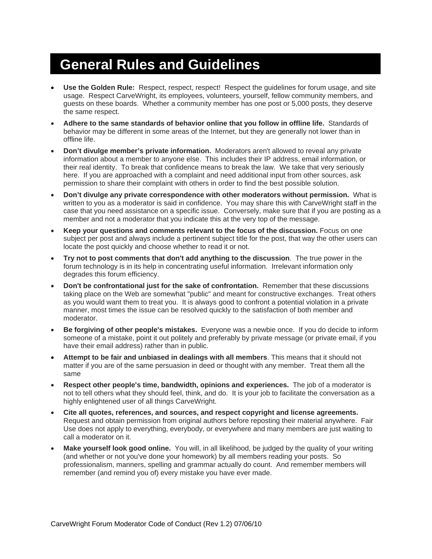### **General Rules and Guidelines**

- **Use the Golden Rule:** Respect, respect, respect! Respect the guidelines for forum usage, and site usage. Respect CarveWright, its employees, volunteers, yourself, fellow community members, and guests on these boards. Whether a community member has one post or 5,000 posts, they deserve the same respect.
- **Adhere to the same standards of behavior online that you follow in offline life.** Standards of behavior may be different in some areas of the Internet, but they are generally not lower than in offline life.
- **Don't divulge member's private information.** Moderators aren't allowed to reveal any private information about a member to anyone else. This includes their IP address, email information, or their real identity. To break that confidence means to break the law. We take that very seriously here. If you are approached with a complaint and need additional input from other sources, ask permission to share their complaint with others in order to find the best possible solution.
- **Don't divulge any private correspondence with other moderators without permission.** What is written to you as a moderator is said in confidence. You may share this with CarveWright staff in the case that you need assistance on a specific issue. Conversely, make sure that if you are posting as a member and not a moderator that you indicate this at the very top of the message.
- **Keep your questions and comments relevant to the focus of the discussion.** Focus on one subject per post and always include a pertinent subject title for the post, that way the other users can locate the post quickly and choose whether to read it or not.
- **Try not to post comments that don't add anything to the discussion**. The true power in the forum technology is in its help in concentrating useful information. Irrelevant information only degrades this forum efficiency.
- **Don't be confrontational just for the sake of confrontation.** Remember that these discussions taking place on the Web are somewhat "public" and meant for constructive exchanges. Treat others as you would want them to treat you. It is always good to confront a potential violation in a private manner, most times the issue can be resolved quickly to the satisfaction of both member and moderator.
- **Be forgiving of other people's mistakes.** Everyone was a newbie once. If you do decide to inform someone of a mistake, point it out politely and preferably by private message (or private email, if you have their email address) rather than in public.
- **Attempt to be fair and unbiased in dealings with all members**. This means that it should not matter if you are of the same persuasion in deed or thought with any member. Treat them all the same
- **Respect other people's time, bandwidth, opinions and experiences.** The job of a moderator is not to tell others what they should feel, think, and do. It is your job to facilitate the conversation as a highly enlightened user of all things CarveWright.
- **Cite all quotes, references, and sources, and respect copyright and license agreements.** Request and obtain permission from original authors before reposting their material anywhere. Fair Use does not apply to everything, everybody, or everywhere and many members are just waiting to call a moderator on it.
- **Make yourself look good online.** You will, in all likelihood, be judged by the quality of your writing (and whether or not you've done your homework) by all members reading your posts. So professionalism, manners, spelling and grammar actually do count. And remember members will remember (and remind you of) every mistake you have ever made.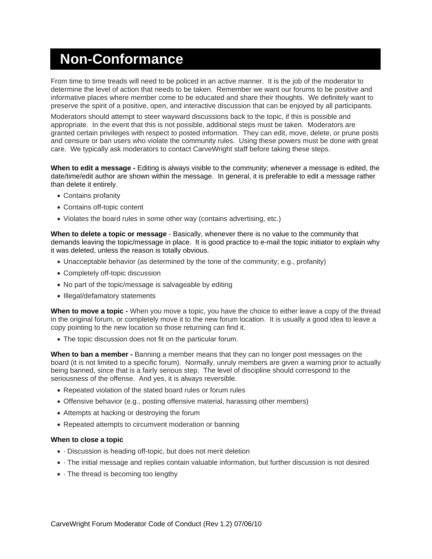### **Non-Conformance**

From time to time treads will need to be policed in an active manner. It is the job of the moderator to determine the level of action that needs to be taken. Remember we want our forums to be positive and informative places where member come to be educated and share their thoughts. We definitely want to preserve the spirit of a positive, open, and interactive discussion that can be enjoyed by all participants.

Moderators should attempt to steer wayward discussions back to the topic, if this is possible and appropriate. In the event that this is not possible, additional steps must be taken. Moderators are granted certain privileges with respect to posted information. They can edit, move, delete, or prune posts and censure or ban users who violate the community rules. Using these powers must be done with great care. We typically ask moderators to contact CarveWright staff before taking these steps.

**When to edit a message -** Editing is always visible to the community; whenever a message is edited, the date/time/edit author are shown within the message. In general, it is preferable to edit a message rather than delete it entirely.

- Contains profanity
- Contains off-topic content
- Violates the board rules in some other way (contains advertising, etc.)

**When to delete a topic or message** - Basically, whenever there is no value to the community that demands leaving the topic/message in place. It is good practice to e-mail the topic initiator to explain why it was deleted, unless the reason is totally obvious.

- Unacceptable behavior (as determined by the tone of the community; e.g., profanity)
- Completely off-topic discussion
- No part of the topic/message is salvageable by editing
- Illegal/defamatory statements

**When to move a topic -** When you move a topic, you have the choice to either leave a copy of the thread in the original forum, or completely move it to the new forum location. It is usually a good idea to leave a copy pointing to the new location so those returning can find it.

• The topic discussion does not fit on the particular forum.

**When to ban a member -** Banning a member means that they can no longer post messages on the board (it is not limited to a specific forum). Normally, unruly members are given a warning prior to actually being banned, since that is a fairly serious step. The level of discipline should correspond to the seriousness of the offense. And yes, it is always reversible.

- Repeated violation of the stated board rules or forum rules
- Offensive behavior (e.g., posting offensive material, harassing other members)
- Attempts at hacking or destroying the forum
- Repeated attempts to circumvent moderation or banning

#### **When to close a topic**

- · Discussion is heading off-topic, but does not merit deletion
- · The initial message and replies contain valuable information, but further discussion is not desired
- · The thread is becoming too lengthy